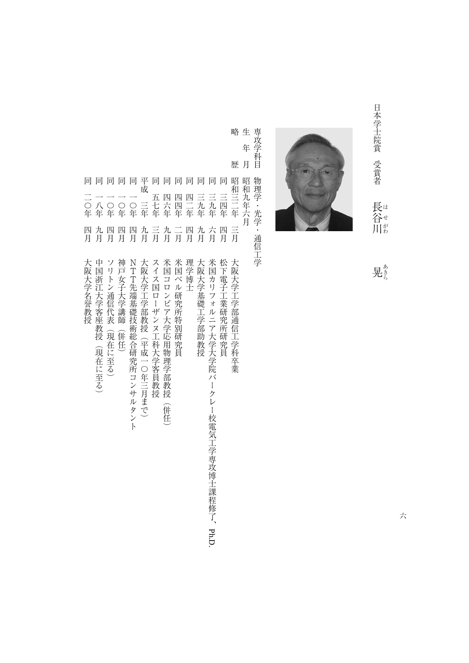日本学士院賞 受賞者 日本学士院賞受賞者長谷川見 - 『『『『『『『『『『『『『『『『』』 長谷川 - キャンプ こうしょう こうしゃ こうしゃ アイ・プレート かんかん かんかん かんきょう かんきょう かんきょう かんきょう かんきょう かんきょう かんきょう かんきょう かんきょう かんきょう かんきょう かんきょう



晃き

六

略歴昭和三二年三月大阪大学工学部通信工学科卒業 生年月昭和九年六月 月 歴 昭和三二年二 同同同 同 同同 一九年九月大阪大学基礎工学部副教授会 一九年九月大阪大学基礎工学部副教授会 一九年九月大阪大学基礎工学部副教授会 人名 スター・コース こうしゅうしゅ こうしゅうしゅ こうしゅうしゅ こうしゅうしゅ こうしゅうしゅ こうしゅうしゅ こうしゅうしゅ こうしゅうしゅ 同三四年四月松下電子工業研究所研究所研究所研究所研究所研究所研究所研究所 三九年 三九年 三四年 四年  $\equiv$ 月 九月 四月 六月 四月 理学博士 大阪大学基礎工学部助教授 米国カリフォルニア大学大学院バークレー校電気工学専攻博士課程修了、Ph.D 松下電子工業研究所研究員 大阪大学工学部通信工学科卒業

専攻学科目物理学・光学・通信工学

物理学·光学·通信工学

専攻学科目 年

略 生

- 同四日米国大学会議員の研究員の研究員の研究員を受けることを実現し、この中での研究員の研究員を実現し、この中での研究員の研究員を実現し、この中での研究員の研究員を実現し、この中での研究員を実現し、この中 同四二年四月理学博士 四四年 四六年  $\frac{-}{\overline{H}}$ 米国コロンビア大学応用物理学部教授 米国ベル研究所特別研究員
- 同四六年九月米国コロンビア大学院 こうしゅうしゅ こうしゅうしゅ こうしゅうしゅ あいきゅうしゅ 九月 (併任)
- 同五十年三月 スイス国ローザンヌ工科大学家 こうしゅうしゅう こうしゅうしゅう こうしゅうしゅうしゅ 五七年 言 スイス国ローザンヌ工科大学客員教授

同

- 大阪大学工学部教授(平成一〇年三月まで)
- 同同同同一<br>一〇〇〇三年<br>八〇年年年 千代優秀(1888年) 平成三年九月大阪大学工学部教授(平成一つ) 平成三年九月大阪大学工学部教授(平成一つ) 平成三年九月大阪大学工学部教授(平成一つ) 平成三年九月大阪大学工学部教授(平成一つ) 平成三年九月大阪大学 九月
	-
	- NTTF(1)の研究所コンサルタントの研究所には、この研究所には、この研究所には、この研究所には、この研究所には、この研究所には、この研究所には、この研究所には、この研究所には、この研究所には、この研究所には、この研究所には、この研究所には、この研究所には、この研究所には、この研究所には、この研究所には、この研究所には、この研究所には、この研究所には、この研究所には、この研究所には、この研究所には、この研究所には、この研究所には、この研 四四 NTT先端基礎技術総合研究所コンサルタント
	- 同一〇年四月神戸女子大学講師(併任) 神戸女子大学講師(併任)
- 「日本の「日本の」の「日本の」の「日本の」の「日本の」の「日本の」の「日本の」の「日本の」の「日本の」の「日本の」の「日本の」の「日本の」の「日本の」の「日本の」の「日本の」の「日本の」の「日本の」の 九四月 ソリトン通信代表 (現在に至る)
- 中国浙江大学客座教授(現在に至る)
- 一年二月中国新た会長の「日本大学」と「日本大学」と「日本大学」と「日本大学」と「日本大学」と「日本大学」と「日本大学」と「日本大学」と「日本大学」と「日本大学」と「日本大学」と「日本大学」と「日本大学 四月
	-
- 大阪大学名誉教授

一つ、「日本の大学」と「日本の大学」と「日本の大学」と「日本の大学」と「日本の大学」と「日本の大学」と「日本の大学」と「日本の大学」と「日本の大学」と「日本の大学」と「日本の大学」と「日本の大学」と「

同

一〇年

- 
- 
- 
- 
- 
- -
	-
	-
	-
	-
-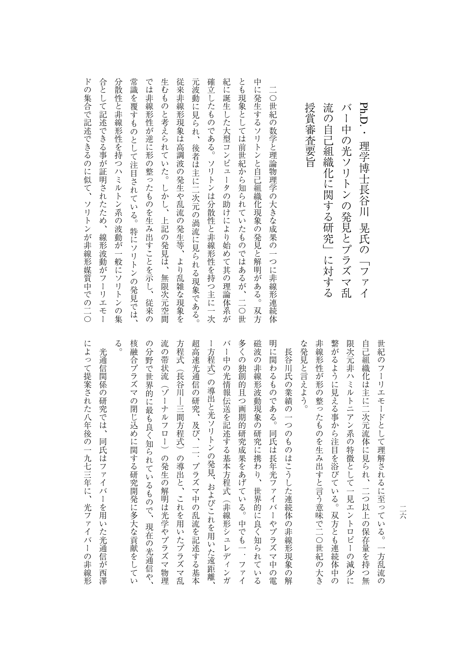| 授賞審査要旨<br>流<br>の自己組織化に関する研究」<br>に対する  |
|---------------------------------------|
| 二〇世紀<br>の数学と理論物理学の大きな成果の一つに非線形連続体     |
| 甲に発生するソリトンと自己組織化現象の発見と解明がある。<br>双方    |
| とも現象としては前世紀から知られていたものではあるが、二〇世        |
| 紀に誕生した大型コンピュータの助けにより始めて其の理論体系が        |
| <b>傩立したものである。ソリトンは分散性と非線形性を持つ主に一次</b> |
| 元波動に見られ、後者は主に二次元の渦流に見られる現象である。        |
| 従来非線形現象は高調波の発生や乱流の発生等、<br>より乱雑な現象を    |
| 生むものと考えられていた。しかし、上記の発見は、<br>無限次元空間    |
| では非線形性が逆に形の整ったものを生み出すことを示し、従来の        |
| 常識を覆すものとして注目されている。特にソリトンの発見では、        |
| 分散性と非線形性を持つハミルトン系の波動が一般にソリトンの集        |
| 合として記述できる事が証明されたため、<br>線形波動がフーリエモー    |
| 下の集合で記述できるのに似て、ソリトンが非線形媒質中での二○        |

る 多くの独創的且つ画期的研究成果をあげている。中でも一.ファイ 明に関わるものである。同氏は長年光ファイバーやプラズマ中の電 非線形性が形の整ったものを生み出すと言う意味で二〇世紀の大き 繋がるように見える事から注目を浴びている。双方とも連続体中の 限次元非ハミルトニアン系の特徴として一見エントロピーの減少に 世紀のフーリエモードとして理解されるに至っている。一方乱流の 核融合プラズマの閉じ込めに関する研究開発に多大な貢献をしてい の分野で世界的に最も良く知られているもので、現在の光通信や、 流の帯状流(ゾーナルフロー)の発生の解明は光学やプラズマ物理 方程式(長谷川―三間方程式)の導出と、これを用いたプラズマ乱 超高速光通信の研究、及び、二.プラズマ中の乱流を記述する基本 バー中の光情報伝送を記述する基本方程式(非線形シュレディンガ 磁波の非線形波動現象の研究に携わり、世界的に良く知られている な発見と言えよう。 自己組織化は主に二次元流体に見られ、二つ以上の保存量を持つ無 ー方程式)の導出と光ソリトンの発見、およびこれを用いた遠距離 大統領の開発に関する研究開発にある新たな売れに関する研究開発にある新たな売れに関する研究開発にある新たな売れに関する研究開発にある新たな売れに関する研究開発にある新たな売れに のうちには、その分野では、現在の光通信や、現在の光通信や、現在の光通信や、現在の光通信や、現在の光通信や、現在の光通信や、現在の光通信や、現在の光通信や、現在の光通信や、現在の光通信や、 冷しい しゅうしゅう しゅうしゅう こうしゅう こうしゅう こうしゅう こうしゅう こうしゅう こうしゅう こうしゅう こうしゅう こうしゅう こうしゅう こうしゅう こうしゅう こうしゅう こうしゅう こうしゅう こうしゅう うちは (長谷川―三間方程式)の導出として、これを用いたプラズマ乱したプラズマ乱したプラズマ乱したプラズマ乱したプラズマ乱したプラズマ 超高速光通信の研究、及び、二ー方程式)の導出と光ソリトンの導出と光ソリトンの導出と光ソリトンの導出と光ソリトンの導出と光ソリトンの導出と光ソリトンの発見、およびこれを用いた影響を用いた影響を用いた影響を用いた影響を用いた影響を用いた バーキング しゅうしゅう しゅうしゅう しゅうしゅう しゅうしゅう しゅうしゅう しゅうしゅう しゅうしゅう しゅうしゅう しゅうしゅう しゅうしゅう しゅうしゅうしゅ そくの そくろ こうしゅう こうしゅう こうしょう こうしょう こうしょう こうしょう こうしょう 磁波の はいしょう はんしゅう はんしゅう こうしゅう こうしゅう こうしゅう こうしゅう こうしゅう こうしゅう こうしゅう こうしゅう こうしゅう こうしゅう こうしゅう こうしゅう こうしゅう こうしゅう こうしゅう 明に関わる ある ある かんしゅう こうしょう こうしゃ アイディング・プラスト な発見と言えよう。 またものを生み出すと言う意味である。<br>またものを生み出すと言う意味である。 繋がるように見える事から注目を浴びている。双方とも連続体中の ルトニルトニアン系の特徴として、そのように、そのように、そのように、そのように、そのように、そのように、そのように、そのように、そのように、そのように、そのように、そのように、そのように、そのように、 自己組織化は主に二次元流体に見られ、二つ以上の保存量を持つ無 世紀のフーリエモードとして理解されるに至っている。一方乱流の 光通信関係の研究では、同氏はファイバーを用いた光通信が西澤 長谷川氏の業績の一つのものはこうした連続体の非線形現象の解 ものは、そのものはこうした基本の解説を実現している。そのまで、そのまでは、そのまでは、そのまでは、そのまでは、そのまでは、そのまでは、そのまでは、そのまでは、そのまでは、そのまでは、そのまでは、そのま プラズマ中の乱流を記述する基本

通信の アイディング こうしゅうしゅ こうしゅう こうしゅう こうしゅう こうしゅう こうしゅう こうしゅう こうしゅう こうしゅう こうしゅう こうしゅう こうしゅう には、その中には、光マイバーの非線形形では、光マイバーの非線形形では、光マイバーの非線形形では、光マイバーの非線形形では、光マイバーの非線形形では、光マイバーの非線形形では、光マイバーの非線形形では、

によって提案された八年後の一九七三年に、光ファイバーの非線形

二六

Ph.D.・理学博士長谷川 晃氏の「ファイ - アイス・ファイル アイス・ファイル アイス・アイス しゅうしゅう しゅうしゅう しゅうしゅう しゅうしゅう しゅうしゅう しゅうしゅう しゅうしゅう しゅうしゅう しゅうしゅう しゅうしゅう しゅうしゅう

バー中の光ソリトンの発見とプラズマ乱

バー中の光ソリトンの発見とプラズマ乱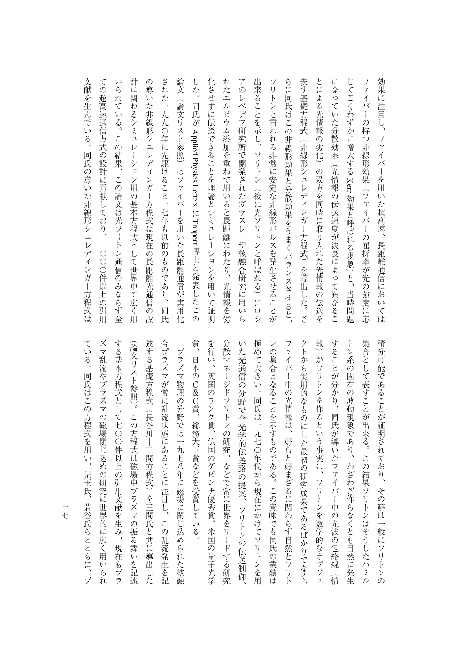論文 出来ることを示し、ソリトン(後に光ソリトンと呼ばれる)にロシ らに同氏はこの非線形効果と分散効果をうまくバランスさせると、 表す基礎方程式(非線形シュレディンガー方程式)を導出した。さ とによる光情報の劣化)の双方を同時に取り入れた光情報の伝送を 文献を生んでいる。 ての超高速通信方式の設計に貢献しており、一〇〇〇件以上の引用 いられている。この結果、 計に関わるシミュレーション用の基本方程式として世界中で広く用 の導いた非線形シュレディンガー方程式は現在の長距離光通信の設 された一九九〇年に先駆けること一七年も以前のものであり、同氏 化させずに伝送できることを理論とシミュレーションを用いて証明 れたエルビウム添加を重ねて用いると長距離にわたり、光情報を劣 アのレベデフ研究所で開発されたガラスレーザ核融合研究に用いら ソリトンと言われる非常に安定な非線形パルスを発生させることが になっていた分散効果(光情報の伝送速度が波長によって異なるこ じてごくわずかに増大する Kerr 効果と呼ばれる現象) と、当時問題 ファイバーの持つ非線形効果(ファイバーの屈折率が光の強度に応 効果に注目し、 文献を生んでいる。同氏の導いた非線形シュレディンガー方程式は ての総合通信方式の設計については、この当時の制度があります。 こうしゃ しゅうしゅう こうしゅうしゅ いちはつ この論文は この論文は光ソリトン通信の論文は光ソリトン通信の名は光ソリトン通信の名は光ソリトン通信の名は光 シミュレーション用の基本方程式として用いているシミュレーション用の基本方程式として使われるシミュレーション用の基本方程式として使われるシミュレーション用の基本方程式として使われるシミュレーション用の基 の製作者 こうしょう こうしょう こうしゅう こうしゅう こうしゅう こうしゅう こうしゅう こうしゅう こうしゅう こうしゅう こうしゅう こうしゅう こうしゅう こうしゅう こうしゅう こうしゅう こうしゅう こうしゅう された一九九〇年に先駆けること一七年も以前のものであり、同氏 。論文の「論文」(論文)はついた長距離通信が実用化した長距離通信が実用化した長距離通信が実用化した長距離通信が実用化した長距離通信が実用化した長距離通信が実用化した長距離通信が実用化した長距離通信を用いた長距離通信が実用化した長距離通信 しんじゅつ しゅうしゅう しゅうしゅう しゅうしゅう しゅうしゅう しゅうしゅう しゅうしゅう しゅうしゅう しゅうしゅう しゅうしゅうしゅう しゅうしゅうしゅう しゅうしゅうしゅう 化させずに 化させずに こうしょう こうしゅう こうしゅう アクセス・コール たまには、エルビウム添加を集ました。 これは、エルビウム添加を集ました。 これは、エルビウム添加を集ました。 これは、エルビウム添加を集ました。 これは、エルビウム添加を集ました。 アのレベデフ研究所で開発されたガラスレーザ核融合研究に用いら 出来ることを示し、ソリトン(後に光ソリトンと呼ばれる)にロシ ソリトンと言われる はっぽん こうしゅう こうしゅう こうしゅう こうしゅう こうしゅう こうしゅう こうしゅう こうしゅう こうしゅう こうしゅう こうしゅう こうしゅう らに同氏はこの非線形があると、この非線形があると、この非線形があると、この非線形があると、この非線形があると、この非線形があると、この非線形があると、この非線形があると、この非線形があると、この非線形 大学の こうしゅう こうしゅう こうしゅう こうしゅう こうしゅう こうしゅう こうしゅう こうしゅう こうしゅう こうしゅう こうしゅう こうしゅう こうしゅう こうしゅう こうしゅう こうしゅう こうしゅう こうしゅ とによる光情報の劣化)の双方を同時に取り入れた光情報の伝送を になっていたのは、それは今秋の花が淡く深く異なることを見えていたのは、それは今秋の花が見えていたのは、それは今秋の花が見えていた分散物を見えていたのは、それは今秋の花が見えていた分散物を見えていたのは じてごくわずかに増大するファイバーの持つ はいしょう こうしゅう こうしゅう こうしゅう こうしゅう こうしゅう こうしゅう こうしゅう こうしゅう こうしゅう こうしゅう こうしゅう こうしゅう こうしゅう こうしゅう こうしゅう こうしゅう からには、ファイバーを用いた場合においては、ファイバーを用いた場合においては、ファイバーを用いた場合においては、ファイバーを用いた場合においては、ファイバーを用いた場合においては、 (論文リスト参照) はファイバーを用いた長距離通信が実用化 Appliedファイバーを用いた超高速、 同氏の導いた非線形シュレディンガー方程式は Physicsこの論文は光ソリトン通信のみならず全 Letters 効果と呼ばれる現象)と、当時問題 . Tappert 長距離通信においては さんじょう こうしょう こうしゃ こうしゃ こうしゃ こうしゃ こうしゃ かんこうしゃ かんこうしゃ

> を行い、英国のランク賞、 極めて大きい。同氏は一九七〇年代から現在にかけてソリトンを用 することが分かり、同氏が導いたファイバー中の光波の包絡線 集合として表すことが出来る。この結果ソリトンはそうしたハミル 合プラズマが常に乱流状態にあることに注目し、この乱流発生を記 賞、日本のC&C賞、総務大臣賞などを受賞している。 分散マネージドソリトンの研究、などで常に世界をリードする研究 いた光通信の分野で全光学的伝送路の提案、ソリトンの伝送制 ンの集合となることを示すものである。この意味でも同氏の業績は ファイバー中の光情報は、 クトから実用的なものにした最初の研究成果であるばかりでなく、 報) がソリトンを作るという事実は、ソリトンを数学的なオブジェ トン系の固有の波動現象であり、 積分可能であることが証明されており、その解は一般にソリトンの 人のことには、この乱流を記憶していることに注目し、この乱流発生を記憶していることに注目し、この乱流発生を記憶していることに注目し、この乱流発生を記憶していることに注目していることに注目していることに注 賞、日本のC&C賞、総務大臣賞などを受賞している。 を行い、英国のランク賞、仏国のダビンチ優秀賞、米国の量子光学 分散マネージドソリトンの研究、などで常に世界をリードする研究 いた光通信の分野で全光学の発展。 こうしゅう こうしゅう こうしゅう こうしゅう こうしゅう こうしゅう こうしゅう たちに、同氏は一九七〇年代から現在にかけてソリトンを用いている。同氏は一九七〇年代から現在にかけてソリトンを用いている。 ンの集合となることを示すようなことを示すようなことを示すようなことを示すようなことを示すようなことを示すようなことを示すようなことを示すようなことを示すようなことを示すようなことを示すようなことを示す ファイバー キャンプ スター・スター アクセス しゅうしゅう しゅうしゅう しゅうしゅう しゅうしゅう しゅうしゅう しゅうしゅう しゅうしゅう しゅうしゅう しゅうしゅう しゅうしゅう しゅうしゅう クトから実用的なものにした最初の研究成果であるばかりでなく、 シー・コン マン・コン マン・コン スキャン こうしょう こうしょう こうしょう こうしょう こうしょう こうしょう こうしょう こうしょう アイ・プレーター こうしょう こうしょう こうしょう こうしょう すい スター・コンピュータ ことがあり しゅうしゅう こくさん こうしゅうしゅう しゅうしゅう こくさん こうしゅうしゅ トン系の こうしゅう こうしゅう こうしゅう こうしゅう こうしゅう こうしゅう こうしゅう こうしゅう こうしゅう こうしゅう こうしゅう 集合として表すことが出来る。この結果ソリトンはそうしたハミル 積分可能であることが証明されており、その解は一般にソリトンの プラズマ物理の分野では一九七八年に磁場に閉じ込められた核融 プラズマ かいしゅう こうしゅう こうしゅう こうしゅう こうしゅう こうしゅう こうしゅう こうしゅう こうしゅう こうしゅう こうしゅう こうしゅう こうしゅう こうしゅう こうしゅう こうしゅう こうしゅう こうしゅう 仏国のダビンチ優秀賞、米国の量子光学 好むと好まざるに関わらず自然とソリト わざわざ作らなくとも自然に発生 锏 信

ている。同氏はこの方程式を用い、 ズマ乱流やプラズマの磁場閉じ込めの研究に世界的に広く用いられ する基本方程式として七〇〇件以上の引用文献を生み、 述する基礎方程式(長谷川―三間方程式)を三間氏と共に導出した (論文リスト参照)。この方程式は磁場中プラズマの振る舞いを記述 (論文)。この方程式は磁場中プラズマの振る舞いを記述している。この方程式は磁場中プラズマの振る舞いを記述している。この方程式は磁場中プラズマの振る舞いを記述している。この方程式は磁場中プラズマの振る舞 ている。日本はこの方程式を用いている。同氏はこの方程式を用いている。同氏はこの方程式を用いている。同氏はこの方程式を用いている。 ズマ乱流やプラズマの磁場閉じ込めの研究に世界的に広く用いられ ちょうしゃ こしょうしゅ しゅうしゅう しゅうしゅう しゅうしゅう しゅうしゅう しゅうしゅう しゅうしゅう しゅうしゅう しゅうしゅう しゅうしゅう しゅうしゅう 述する基礎方程式(長谷川―三間方程式)を三間氏と共に導出した 児玉氏、若谷氏らとともに、 現在もプラ プ

 $\frac{1}{t}$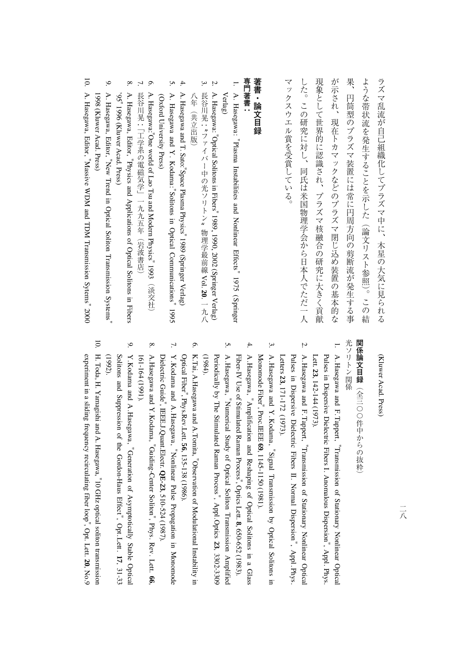現象として世界的に認識され、プラズマ核融合の研究に大きく貢献 果 マックスウエル賞を受賞している。 した。この研究に対し、同氏は米国物理学会から日本人でただ一人 が示され、現在トカマックなどのプラズマ閉じ込め装置の基本的な ような帯状流を発生することを示した (論文リスト参照)。この結 ラズマ乱流が自己組織化してプラズマ中に、木星の大気に見られる マックスウエル賞を受賞している。 した。この研究に対し、その研究に対し、その研究に対して、その研究に対して、その研究に対して、その研究に対して、その研究に対して、その研究に対して、その研究に対して、その研究に対して、その研究に対して、 人生のことに、プラズマ核融合の研究に大きく宣教会の研究に大きく貢献され、プラズマ核融合の研究に大きく貢献され、プラズマ核融合の研究に大きく宣教会議会 が示され、現在トカマックなどのプラズマ閉じ込め装置の基本的な 果、円筒型のプラズマ装置には常に円周方向の剪断流が発生する事 もある。この結果は、この結果がある。この結果は、この結果は、この結果は、この結果は、この結果は、この結果は、この結果は、この結果は、この結果は、この結果は、この結果は、この結果は、この結果は、この結果 ラズマ乱流が自己組織化してプラズマ中に、木星の大気に見られる 円筒型のプラズマ装置には常に円周方向の剪断流が発生する事

## 専門著書: 著書・論文目録 **著書・論文目録**

**専門著書**

**. .**  A. Hasegawa: "Plasma Instabilities and Nonlinear Effects" 1975 (Springer Verlag)

5.

- 2. A. Hasegawa: "Optical Solitonsin. Fibers" 1989, 1990, 2002 (Springer Verlag) 3. トラックス  $\cdot$  ; ファイバー アクション・シーク しゅうしゅう しゅうしゅう しゅうしゅう しゅうしゅう しゅうしゅう しゅうしゅう しゅうしゅう しゅうしゅうしゅう しゅうしゅうしゅうしゅうしゅうしゅうしゃ  $\frac{u}{\sqrt{2}}$ 物理学最前線Vol. **20**.
- 4. A. Hasegawa and T. Sato:"Space Plasma Physics" 1989 (SpringerVerlag)

八年(共立出版)

八年(共立出版)

- 5. A. Hasegawa and Y. Kodama:"Solitonsin. Optical Communications" 1995 (Oxford UniversityPress)
- 6. A. Hasegawa:"One world of Lao Tsu and Modern Physics" 1993(淡交社) くちょう こうこうしょう
- 7. 長谷川晃:「工学系の電磁気学」一九九五年(岩波書店) 1谷川晃 : | 一九十五年(1882年) 一九五年(1882年) 一九五年(1882年) 一九五年(1882年) 一九五年(1882年) 一九五年(1882年) 一九五年(1882年) 一九五年(1882年) 一九五
- 8. A. Hasegawa, Editor, "Physics and Applications of Optical Solitonsin. Fibers '95" 1996 (Kluwer Acad.Press)
- 9. A. Hasegawa, Editor, "New Trendin. Optical Soliton Transmission Systems" 1998 (Kluwer Acad.Press)
- 10. A. Hasegawa, Editor, "Massivepue M<sub>a</sub>W TDM TransmissionSytems" 2000

## (Kluwer Acad.Press)

## 光ソリトン関係 関係論文目録(全三〇〇件中からの抜粋 **関係論文目録**(全三〇件中からの抜粋) こうしょう こうしょう こうしょう こうしゃ しゅうしょう こうしゃ アイ・プライン しゅうしょう しゅうしょう しゅうしゅう しゅうしゅう しゅうしゅう しゅうしゅう しゅうしゅう しゅうしゅう

光ソリトン関係

- 1. A.Hasegawa and F.Tappert, "Transmission of Stationary Nonlinear Optical Pulsesin, Dispersive Dielectric Fibers I. Anomalous Dispersion", Appl. Phys. Lett. **23**, 142-144 (1973).
- 2. A.Hasegawa and F.Tappert, "Transmission of Stationary Nonlinear Optical Pulsesi Dispersive Dielectric Fibers II. Normal Dispersion", Appl. Phys . Letters **23**, 171-172 (1973).
- 3. A.Hasegawa and Y.Kodama, "Signal Transmission $\mathbf{\hat{z}}$  Optical Solitonsin. Monomode Fiber", Proc.IEEE **69**, 1145-1150(1981).
- 4. A.Hasegawa, Amplification and Reshaping<u>ຊ</u> Optical Solitons in a Glass Fiber-IV Use of Stimulated Raman Process", OpticsLett. **8**, 650-652 (1983).
- A.Hasegawa, Numerical Study of Optical Soliton Transmission Amplified Periodically $\mathsf{s}$  The Stimulated Raman Process", Appl.Optics **23**, 3302-3309 (1984).
- 6. K.Tai, A.Hasegawa and A.Tomita, Observation<u>ຊ</u> Modulational Instabilityin. Optical Fiber", Phys.Rev.Lett. **56**, 135-138 (1986).
- 7. Y.Kodama and A.Hasegawa, "Nonlinear Pulse Propagationin. Monomode Dielectric Guide", IEEE.J.Quant.Electr. **QE-23**, 510-524 (1987).
- 8. A.Hasegawa and Y.Kodama, "Guiding-Center Soliton", Phys. Rev. Lett. **66**, 161-164 (1991).
- 9. Y.Kodama and A.Hasegawa, Generation of Asymptotically Stable Optical Solitons and Suppression<u>ຊ</u> the Gordon-Haus Effect", Opt.Lett. **17**, 31-33 (1992).
- 10. H. Toda, H. Yamagishi and A.Hasegawa, "10 GHz optical soliton transmission experiment in a sliding frequency recirculating fiber loop", Opt. Lett. **20**, No.9